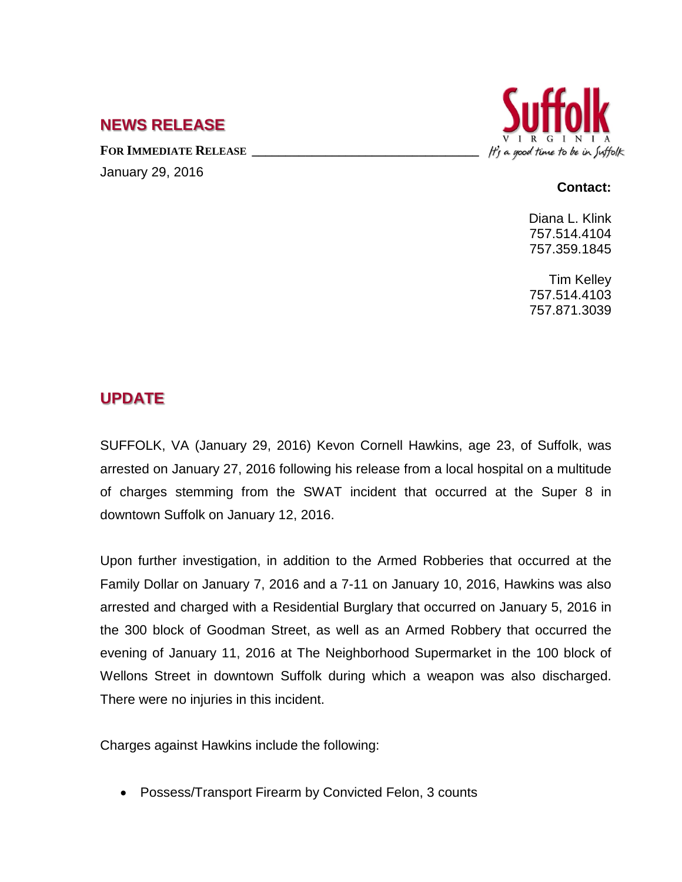#### **NEWS RELEASE**

FOR **IMMEDIATE RELEASE** January 29, 2016



#### **Contact:**

Diana L. Klink 757.514.4104 757.359.1845

Tim Kelley 757.514.4103 757.871.3039

# **UPDATE**

SUFFOLK, VA (January 29, 2016) Kevon Cornell Hawkins, age 23, of Suffolk, was arrested on January 27, 2016 following his release from a local hospital on a multitude of charges stemming from the SWAT incident that occurred at the Super 8 in

Upon further investigation, in addition to the Armed Robberies that occurred at the Family Dollar on January 7, 2016 and a 7-11 on January 10, 2016, Hawkins was also arrested and charged with a Residential Burglary that occurred on January 5, 2016 in the 300 block of Goodman Street, as well as an Armed Robbery that occurred the evening of January 11, 2016 at The Neighborhood Supermarket in the 100 block of Wellons Street in downtown Suffolk during which a weapon was also discharged. There were no injuries in this incident.

Charges against Hawkins include the following:

• Possess/Transport Firearm by Convicted Felon, 3 counts

downtown Suffolk on January 12, 2016.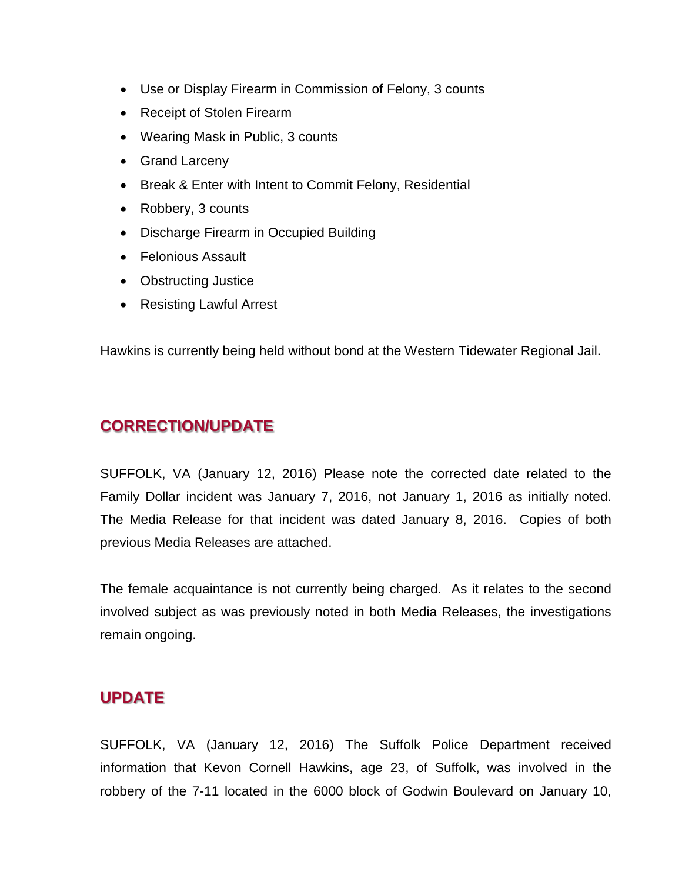- Use or Display Firearm in Commission of Felony, 3 counts
- Receipt of Stolen Firearm
- Wearing Mask in Public, 3 counts
- Grand Larceny
- Break & Enter with Intent to Commit Felony, Residential
- Robbery, 3 counts
- Discharge Firearm in Occupied Building
- Felonious Assault
- Obstructing Justice
- Resisting Lawful Arrest

Hawkins is currently being held without bond at the Western Tidewater Regional Jail.

## **CORRECTION/UPDATE**

SUFFOLK, VA (January 12, 2016) Please note the corrected date related to the Family Dollar incident was January 7, 2016, not January 1, 2016 as initially noted. The Media Release for that incident was dated January 8, 2016. Copies of both previous Media Releases are attached.

The female acquaintance is not currently being charged. As it relates to the second involved subject as was previously noted in both Media Releases, the investigations remain ongoing.

## **UPDATE**

SUFFOLK, VA (January 12, 2016) The Suffolk Police Department received information that Kevon Cornell Hawkins, age 23, of Suffolk, was involved in the robbery of the 7-11 located in the 6000 block of Godwin Boulevard on January 10,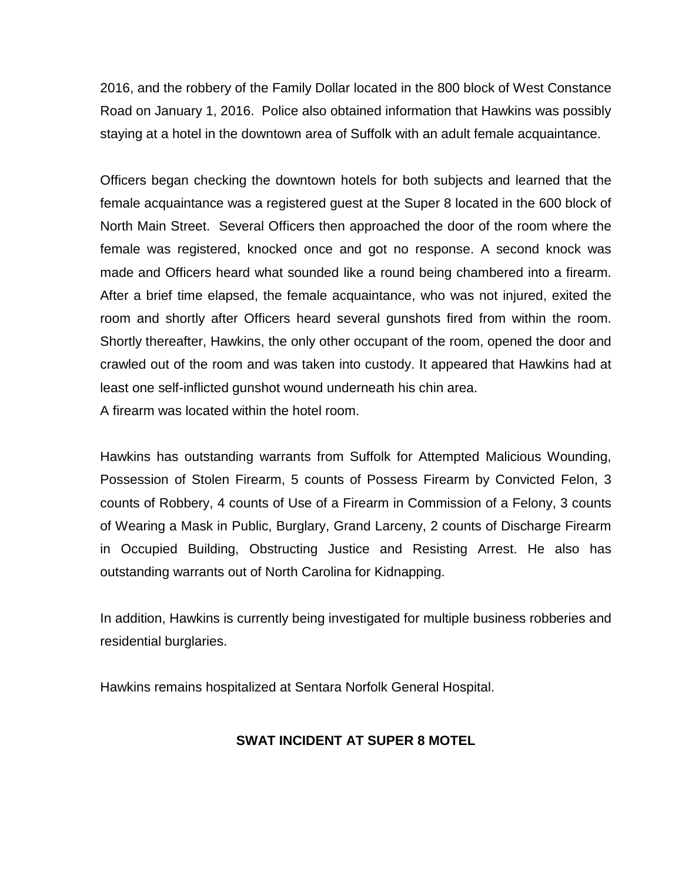2016, and the robbery of the Family Dollar located in the 800 block of West Constance Road on January 1, 2016. Police also obtained information that Hawkins was possibly staying at a hotel in the downtown area of Suffolk with an adult female acquaintance.

Officers began checking the downtown hotels for both subjects and learned that the female acquaintance was a registered guest at the Super 8 located in the 600 block of North Main Street. Several Officers then approached the door of the room where the female was registered, knocked once and got no response. A second knock was made and Officers heard what sounded like a round being chambered into a firearm. After a brief time elapsed, the female acquaintance, who was not injured, exited the room and shortly after Officers heard several gunshots fired from within the room. Shortly thereafter, Hawkins, the only other occupant of the room, opened the door and crawled out of the room and was taken into custody. It appeared that Hawkins had at least one self-inflicted gunshot wound underneath his chin area.

A firearm was located within the hotel room.

Hawkins has outstanding warrants from Suffolk for Attempted Malicious Wounding, Possession of Stolen Firearm, 5 counts of Possess Firearm by Convicted Felon, 3 counts of Robbery, 4 counts of Use of a Firearm in Commission of a Felony, 3 counts of Wearing a Mask in Public, Burglary, Grand Larceny, 2 counts of Discharge Firearm in Occupied Building, Obstructing Justice and Resisting Arrest. He also has outstanding warrants out of North Carolina for Kidnapping.

In addition, Hawkins is currently being investigated for multiple business robberies and residential burglaries.

Hawkins remains hospitalized at Sentara Norfolk General Hospital.

#### **SWAT INCIDENT AT SUPER 8 MOTEL**